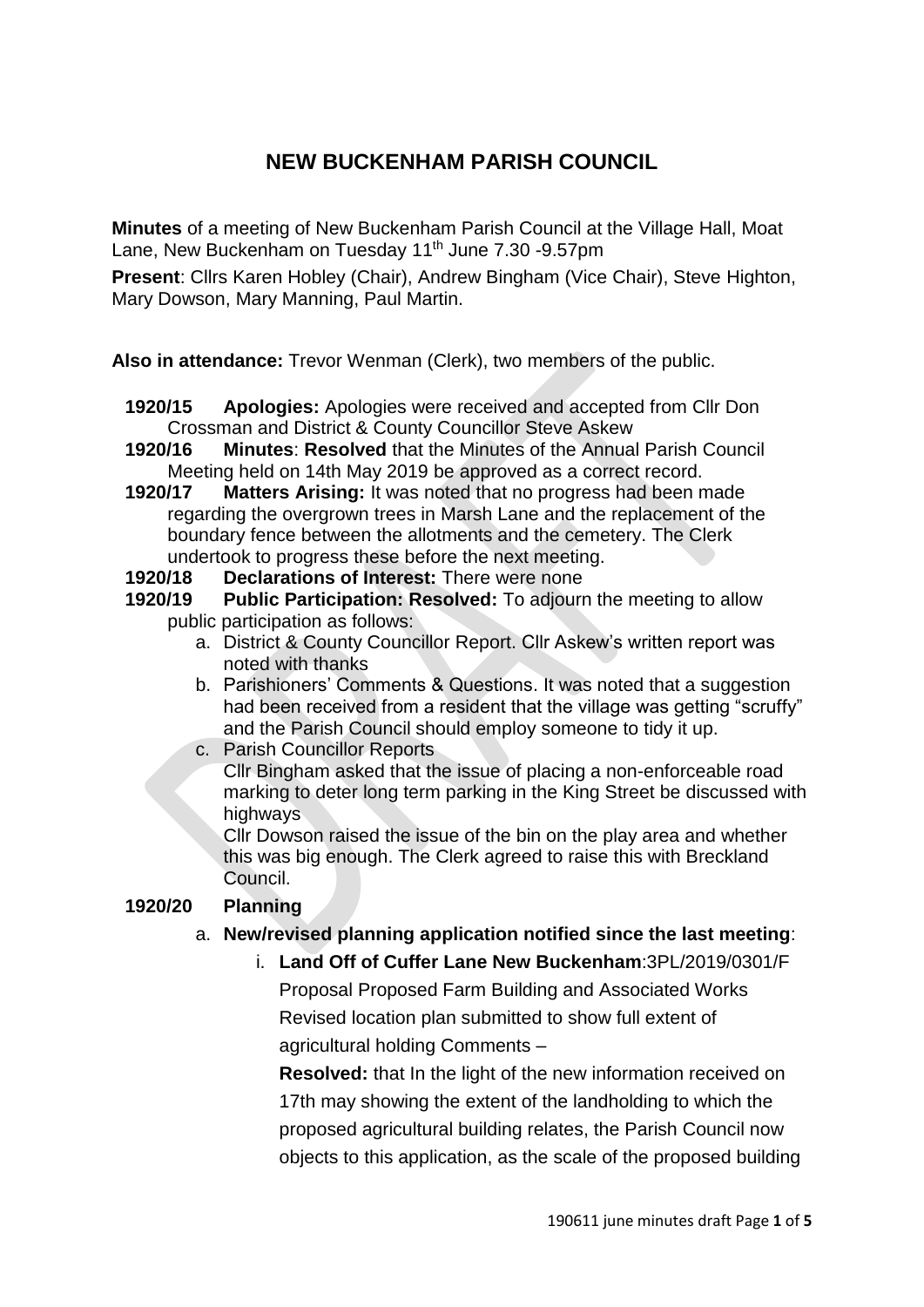# **NEW BUCKENHAM PARISH COUNCIL**

**Minutes** of a meeting of New Buckenham Parish Council at the Village Hall, Moat Lane, New Buckenham on Tuesday 11<sup>th</sup> June 7.30 -9.57pm

**Present**: Cllrs Karen Hobley (Chair), Andrew Bingham (Vice Chair), Steve Highton, Mary Dowson, Mary Manning, Paul Martin.

**Also in attendance:** Trevor Wenman (Clerk), two members of the public.

- **1920/15 Apologies:** Apologies were received and accepted from Cllr Don Crossman and District & County Councillor Steve Askew
- **1920/16 Minutes**: **Resolved** that the Minutes of the Annual Parish Council Meeting held on 14th May 2019 be approved as a correct record.
- **1920/17 Matters Arising:** It was noted that no progress had been made regarding the overgrown trees in Marsh Lane and the replacement of the boundary fence between the allotments and the cemetery. The Clerk undertook to progress these before the next meeting.
- **1920/18 Declarations of Interest:** There were none
- **1920/19 Public Participation: Resolved:** To adjourn the meeting to allow public participation as follows:
	- a. District & County Councillor Report. Cllr Askew's written report was noted with thanks
	- b. Parishioners' Comments & Questions. It was noted that a suggestion had been received from a resident that the village was getting "scruffy" and the Parish Council should employ someone to tidy it up.
	- c. Parish Councillor Reports Cllr Bingham asked that the issue of placing a non-enforceable road marking to deter long term parking in the King Street be discussed with highways

Cllr Dowson raised the issue of the bin on the play area and whether this was big enough. The Clerk agreed to raise this with Breckland Council.

## **1920/20 Planning**

## a. **New/revised planning application notified since the last meeting**:

i. **Land Off of Cuffer Lane New Buckenham**:3PL/2019/0301/F Proposal Proposed Farm Building and Associated Works Revised location plan submitted to show full extent of agricultural holding Comments –

**Resolved:** that In the light of the new information received on 17th may showing the extent of the landholding to which the proposed agricultural building relates, the Parish Council now objects to this application, as the scale of the proposed building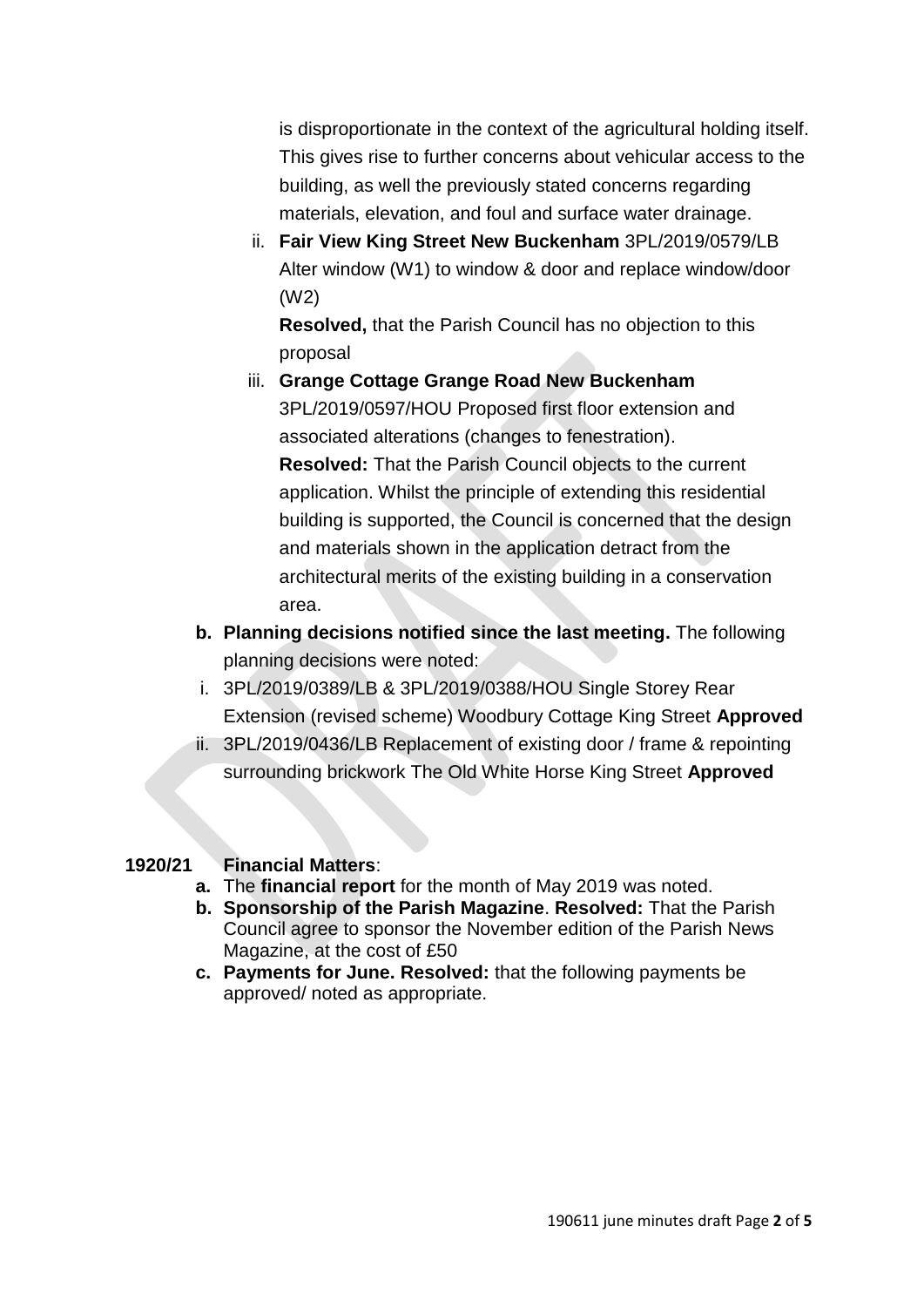is disproportionate in the context of the agricultural holding itself. This gives rise to further concerns about vehicular access to the building, as well the previously stated concerns regarding materials, elevation, and foul and surface water drainage.

ii. **Fair View King Street New Buckenham** 3PL/2019/0579/LB Alter window (W1) to window & door and replace window/door (W2)

**Resolved,** that the Parish Council has no objection to this proposal

- iii. **Grange Cottage Grange Road New Buckenham** 3PL/2019/0597/HOU Proposed first floor extension and associated alterations (changes to fenestration). **Resolved:** That the Parish Council objects to the current application. Whilst the principle of extending this residential building is supported, the Council is concerned that the design and materials shown in the application detract from the architectural merits of the existing building in a conservation area.
- **b. Planning decisions notified since the last meeting.** The following planning decisions were noted:
- i. 3PL/2019/0389/LB & 3PL/2019/0388/HOU Single Storey Rear Extension (revised scheme) Woodbury Cottage King Street **Approved**
- ii. 3PL/2019/0436/LB Replacement of existing door / frame & repointing surrounding brickwork The Old White Horse King Street **Approved**

## **1920/21 Financial Matters**:

- **a.** The **financial report** for the month of May 2019 was noted.
- **b. Sponsorship of the Parish Magazine**. **Resolved:** That the Parish Council agree to sponsor the November edition of the Parish News Magazine, at the cost of £50
- **c. Payments for June. Resolved:** that the following payments be approved/ noted as appropriate.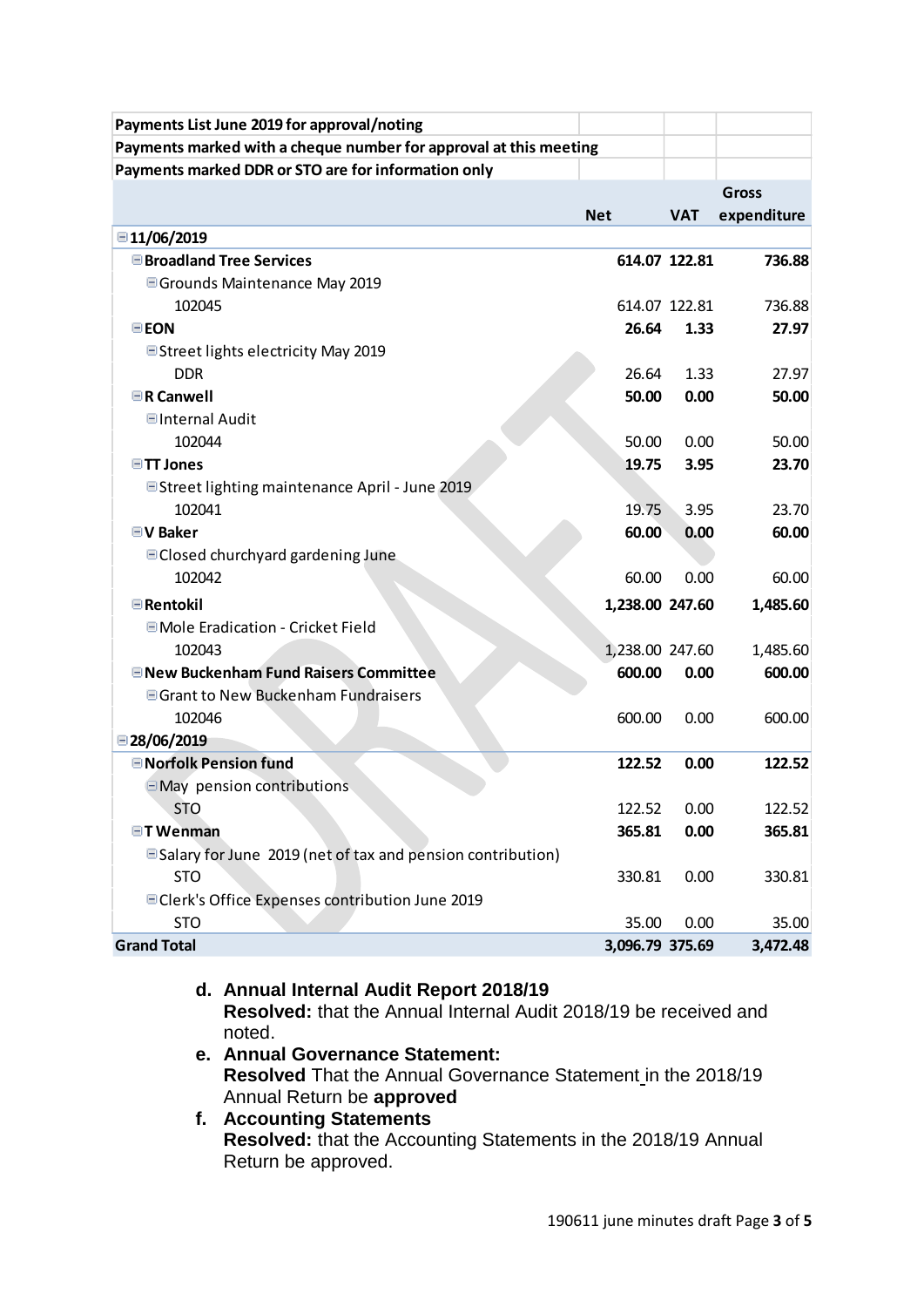| Payments List June 2019 for approval/noting                       |                 |               |              |
|-------------------------------------------------------------------|-----------------|---------------|--------------|
| Payments marked with a cheque number for approval at this meeting |                 |               |              |
| Payments marked DDR or STO are for information only               |                 |               |              |
|                                                                   |                 |               | <b>Gross</b> |
|                                                                   | <b>Net</b>      | <b>VAT</b>    | expenditure  |
| ■11/06/2019                                                       |                 |               |              |
| <b>■Broadland Tree Services</b>                                   |                 |               | 736.88       |
|                                                                   |                 | 614.07 122.81 |              |
| ■ Grounds Maintenance May 2019                                    |                 |               |              |
| 102045                                                            |                 | 614.07 122.81 | 736.88       |
| <b>EEON</b>                                                       | 26.64           | 1.33          | 27.97        |
| ■ Street lights electricity May 2019                              |                 |               |              |
| <b>DDR</b>                                                        | 26.64           | 1.33          | 27.97        |
| $\Box$ R Canwell                                                  | 50.00           | 0.00          | 50.00        |
| <b>■Internal Audit</b>                                            |                 |               |              |
| 102044                                                            | 50.00           | 0.00          | 50.00        |
| <b>□TT Jones</b>                                                  | 19.75           | 3.95          | 23.70        |
| ■Street lighting maintenance April - June 2019                    |                 |               |              |
| 102041                                                            | 19.75           | 3.95          | 23.70        |
| $\blacksquare$ V Baker                                            | 60.00           | 0.00          | 60.00        |
| □ Closed churchyard gardening June                                |                 |               |              |
| 102042                                                            | 60.00           | 0.00          | 60.00        |
| $\blacksquare$ Rentokil                                           | 1,238.00 247.60 |               | 1,485.60     |
| ■ Mole Eradication - Cricket Field                                |                 |               |              |
| 102043                                                            | 1,238.00 247.60 |               | 1,485.60     |
| <b>ENew Buckenham Fund Raisers Committee</b>                      | 600.00          | 0.00          | 600.00       |
| □ Grant to New Buckenham Fundraisers                              |                 |               |              |
| 102046                                                            | 600.00          | 0.00          | 600.00       |
| $\Box$ 28/06/2019                                                 |                 |               |              |
| <b>□ Norfolk Pension fund</b>                                     | 122.52          | 0.00          | 122.52       |
| $\Box$ May pension contributions                                  |                 |               |              |
| <b>STO</b>                                                        | 122.52          | 0.00          | 122.52       |
| <b>□TWenman</b>                                                   | 365.81          | 0.00          | 365.81       |
| □ Salary for June 2019 (net of tax and pension contribution)      |                 |               |              |
| <b>STO</b>                                                        | 330.81          | 0.00          | 330.81       |
| □ Clerk's Office Expenses contribution June 2019                  |                 |               |              |
| <b>STO</b>                                                        | 35.00           | 0.00          | 35.00        |
| <b>Grand Total</b>                                                | 3,096.79 375.69 |               | 3,472.48     |

- **d. Annual Internal Audit Report 2018/19 Resolved:** that the Annual Internal Audit 2018/19 be received and noted.
- **e. Annual Governance Statement: Resolved** That the Annual Governance Statement in the 2018/19 Annual Return be **approved**
- **f. Accounting Statements Resolved:** that the Accounting Statements in the 2018/19 Annual Return be approved.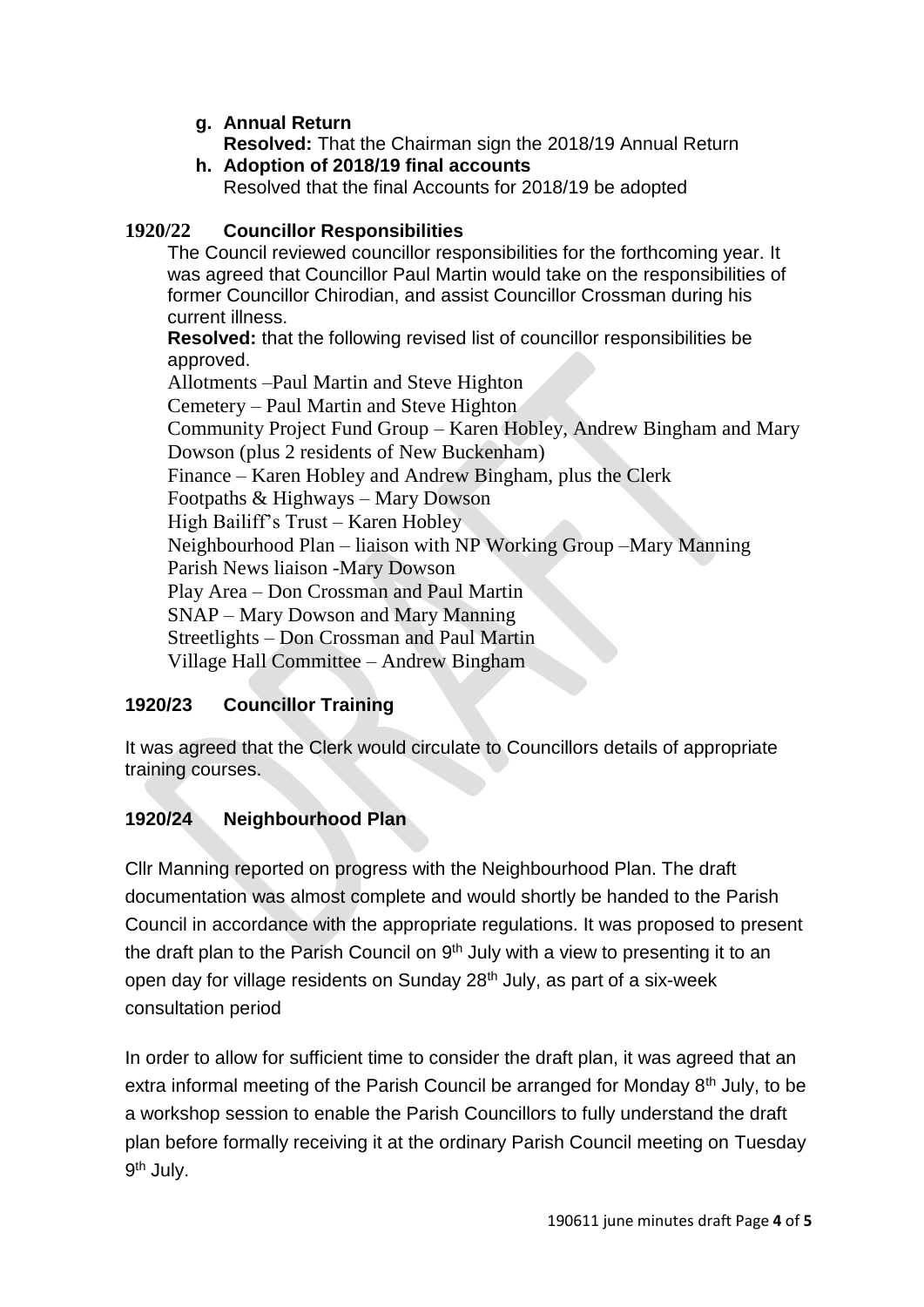# **g. Annual Return**

**Resolved:** That the Chairman sign the 2018/19 Annual Return **h. Adoption of 2018/19 final accounts**

Resolved that the final Accounts for 2018/19 be adopted

# **1920/22 Councillor Responsibilities**

The Council reviewed councillor responsibilities for the forthcoming year. It was agreed that Councillor Paul Martin would take on the responsibilities of former Councillor Chirodian, and assist Councillor Crossman during his current illness.

**Resolved:** that the following revised list of councillor responsibilities be approved.

Allotments –Paul Martin and Steve Highton Cemetery – Paul Martin and Steve Highton Community Project Fund Group – Karen Hobley, Andrew Bingham and Mary Dowson (plus 2 residents of New Buckenham) Finance – Karen Hobley and Andrew Bingham, plus the Clerk Footpaths & Highways – Mary Dowson High Bailiff's Trust – Karen Hobley Neighbourhood Plan – liaison with NP Working Group –Mary Manning Parish News liaison -Mary Dowson Play Area – Don Crossman and Paul Martin SNAP – Mary Dowson and Mary Manning Streetlights – Don Crossman and Paul Martin Village Hall Committee – Andrew Bingham

# **1920/23 Councillor Training**

It was agreed that the Clerk would circulate to Councillors details of appropriate training courses.

# **1920/24 Neighbourhood Plan**

Cllr Manning reported on progress with the Neighbourhood Plan. The draft documentation was almost complete and would shortly be handed to the Parish Council in accordance with the appropriate regulations. It was proposed to present the draft plan to the Parish Council on  $9<sup>th</sup>$  July with a view to presenting it to an open day for village residents on Sunday 28<sup>th</sup> July, as part of a six-week consultation period

In order to allow for sufficient time to consider the draft plan, it was agreed that an extra informal meeting of the Parish Council be arranged for Monday 8<sup>th</sup> July, to be a workshop session to enable the Parish Councillors to fully understand the draft plan before formally receiving it at the ordinary Parish Council meeting on Tuesday 9<sup>th</sup> July.